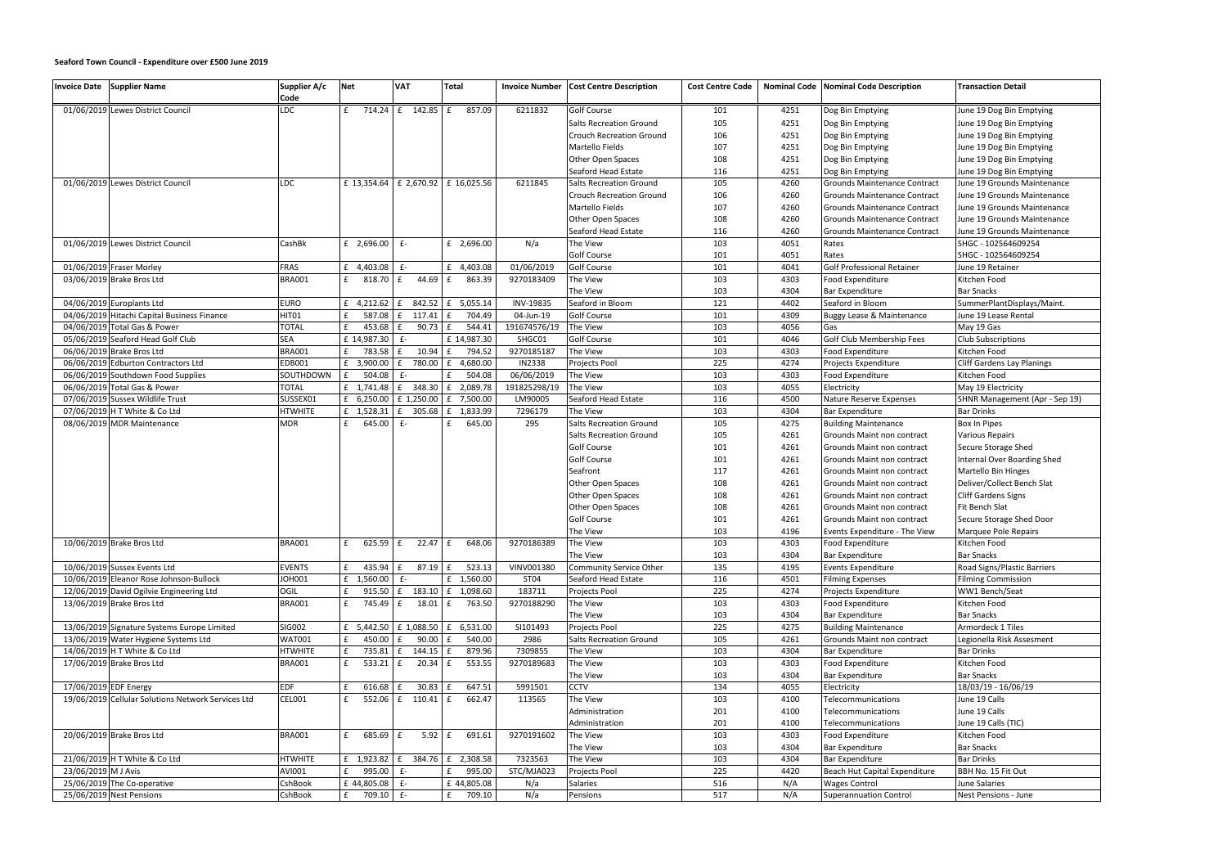## **Seaford Town Council - Expenditure over £500 June 2019**

| Invoice Date Supplier Name                         | Supplier A/c<br>Code | <b>Net</b>           | VAT                                                 | <b>Total</b>                                                     | <b>Invoice Number</b> | <b>Cost Centre Description</b>  | <b>Cost Centre Code</b> |      | Nominal Code   Nominal Code Description | <b>Transaction Detail</b>         |
|----------------------------------------------------|----------------------|----------------------|-----------------------------------------------------|------------------------------------------------------------------|-----------------------|---------------------------------|-------------------------|------|-----------------------------------------|-----------------------------------|
| 01/06/2019 Lewes District Council                  | <b>LDC</b>           | f                    | 714.24 f 142.85 f                                   | 857.09                                                           | 6211832               | <b>Golf Course</b>              | 101                     | 4251 | Dog Bin Emptying                        | June 19 Dog Bin Emptying          |
|                                                    |                      |                      |                                                     |                                                                  |                       | <b>Salts Recreation Ground</b>  | 105                     | 4251 | Dog Bin Emptying                        | June 19 Dog Bin Emptying          |
|                                                    |                      |                      |                                                     |                                                                  |                       | <b>Crouch Recreation Ground</b> | 106                     | 4251 | Dog Bin Emptying                        | June 19 Dog Bin Emptying          |
|                                                    |                      |                      |                                                     |                                                                  |                       | <b>Martello Fields</b>          | 107                     | 4251 | Dog Bin Emptying                        | June 19 Dog Bin Emptying          |
|                                                    |                      |                      |                                                     |                                                                  |                       | Other Open Spaces               | 108                     | 4251 | Dog Bin Emptying                        | June 19 Dog Bin Emptying          |
|                                                    |                      |                      |                                                     |                                                                  |                       | Seaford Head Estate             | 116                     | 4251 | Dog Bin Emptying                        | June 19 Dog Bin Emptying          |
| 01/06/2019 Lewes District Council                  | LDC                  | £ 13,354.64          |                                                     | £ 2,670.92 £ 16,025.56                                           | 6211845               | <b>Salts Recreation Ground</b>  | 105                     | 4260 | Grounds Maintenance Contract            | June 19 Grounds Maintenance       |
|                                                    |                      |                      |                                                     |                                                                  |                       | <b>Crouch Recreation Ground</b> | 106                     | 4260 | <b>Grounds Maintenance Contract</b>     | June 19 Grounds Maintenance       |
|                                                    |                      |                      |                                                     |                                                                  |                       | Martello Fields                 | 107                     | 4260 | Grounds Maintenance Contract            | June 19 Grounds Maintenance       |
|                                                    |                      |                      |                                                     |                                                                  |                       | <b>Other Open Spaces</b>        | 108                     | 4260 | <b>Grounds Maintenance Contract</b>     | June 19 Grounds Maintenance       |
|                                                    |                      |                      |                                                     |                                                                  |                       | Seaford Head Estate             | 116                     | 4260 | <b>Grounds Maintenance Contract</b>     | June 19 Grounds Maintenance       |
| 01/06/2019 Lewes District Council                  | CashBk               | £ 2,696.00           | $f -$                                               | £ 2,696.00                                                       | N/a                   | The View                        | 103                     | 4051 | Rates                                   | SHGC - 102564609254               |
|                                                    |                      |                      |                                                     |                                                                  |                       | <b>Golf Course</b>              | 101                     | 4051 | Rates                                   | SHGC - 102564609254               |
| 01/06/2019 Fraser Morley                           | <b>FRAS</b>          | £ 4,403.08           | $E-$                                                | £ 4,403.08                                                       | 01/06/2019            | <b>Golf Course</b>              | 101                     | 4041 | <b>Golf Professional Retainer</b>       | June 19 Retainer                  |
| 03/06/2019 Brake Bros Ltd                          | <b>BRA001</b>        | f<br>818.70          | 44.69 £<br>f                                        | 863.39                                                           | 9270183409            | The View                        | 103                     | 4303 | Food Expenditure                        | Kitchen Food                      |
|                                                    |                      |                      |                                                     |                                                                  |                       | The View                        | 103                     | 4304 | <b>Bar Expenditure</b>                  | <b>Bar Snacks</b>                 |
| 04/06/2019 Europlants Ltd                          | <b>EURO</b>          | £ 4,212.62           | f.                                                  | 842.52 £ 5,055.14                                                | INV-19835             | Seaford in Bloom                | 121                     | 4402 | Seaford in Bloom                        | SummerPlantDisplays/Maint.        |
| 04/06/2019 Hitachi Capital Business Finance        | HITO1                | 587.08<br>£          | $f = 117.41$ $f =$                                  | 704.49                                                           | 04-Jun-19             | Golf Course                     | 101                     | 4309 | <b>Buggy Lease &amp; Maintenance</b>    | June 19 Lease Rental              |
| 04/06/2019 Total Gas & Power                       | <b>TOTAL</b>         | 453.68<br>£          | $90.73 \mid f$<br>f                                 | 544.41                                                           | 191674576/19          | The View                        | 103                     | 4056 | Gas                                     | May 19 Gas                        |
| 05/06/2019 Seaford Head Golf Club                  | SEA                  | £ 14,987.30 £-       |                                                     | £ 14,987.30                                                      | SHGC01                | <b>Golf Course</b>              | 101                     | 4046 | Golf Club Membership Fees               | <b>Club Subscriptions</b>         |
| 06/06/2019 Brake Bros Ltd                          | <b>BRA001</b>        | £<br>783.58          | $10.94 \mid f$<br>E                                 | 794.52                                                           | 9270185187            | The View                        | 103                     | 4303 | Food Expenditure                        | Kitchen Food                      |
| 06/06/2019 Edburton Contractors Ltd                | EDB001               | £ 3,900.00           | £ 780.00                                            | £ 4,680.00                                                       | <b>IN2338</b>         | Projects Pool                   | 225                     | 4274 | Projects Expenditure                    | <b>Cliff Gardens Lay Planings</b> |
| 06/06/2019 Southdown Food Supplies                 | SOUTHDOWN            | £<br>504.08          | $f -$                                               | 504.08<br>£                                                      | 06/06/2019            | The View                        | 103                     | 4303 | Food Expenditure                        | Kitchen Food                      |
| 06/06/2019 Total Gas & Power                       | <b>TOTAL</b>         | £ 1,741.48           |                                                     | £ 348.30 $\left  2,089.78 \right $                               | 191825298/19          | The View                        | 103                     | 4055 | Electricity                             | May 19 Electricity                |
| 07/06/2019 Sussex Wildlife Trust                   | SUSSEX01             | £ 6,250.00           |                                                     | £ 1,250.00 $E$ 7,500.00                                          | LM90005               | Seaford Head Estate             | 116                     | 4500 | Nature Reserve Expenses                 | SHNR Management (Apr - Sep 19)    |
| 07/06/2019 H T White & Co Ltd                      | <b>HTWHITE</b>       | £ 1,528.31           |                                                     | £ 305.68 $E$ 1,833.99                                            | 7296179               | The View                        | 103                     | 4304 | <b>Bar Expenditure</b>                  | <b>Bar Drinks</b>                 |
| 08/06/2019 MDR Maintenance                         | <b>MDR</b>           | f<br>645.00          | $f -$                                               | 645.00<br>£                                                      | 295                   | Salts Recreation Ground         | 105                     | 4275 | <b>Building Maintenance</b>             | <b>Box In Pipes</b>               |
|                                                    |                      |                      |                                                     |                                                                  |                       | <b>Salts Recreation Ground</b>  | 105                     | 4261 | Grounds Maint non contract              | <b>Various Repairs</b>            |
|                                                    |                      |                      |                                                     |                                                                  |                       | <b>Golf Course</b>              | 101                     | 4261 | Grounds Maint non contract              | Secure Storage Shed               |
|                                                    |                      |                      |                                                     |                                                                  |                       | <b>Golf Course</b>              | 101                     | 4261 | Grounds Maint non contract              | Internal Over Boarding Shed       |
|                                                    |                      |                      |                                                     |                                                                  |                       | Seafront                        | 117                     | 4261 | Grounds Maint non contract              | Martello Bin Hinges               |
|                                                    |                      |                      |                                                     |                                                                  |                       | Other Open Spaces               | 108                     | 4261 | Grounds Maint non contract              | Deliver/Collect Bench Slat        |
|                                                    |                      |                      |                                                     |                                                                  |                       | Other Open Spaces               | 108                     | 4261 | Grounds Maint non contract              | <b>Cliff Gardens Signs</b>        |
|                                                    |                      |                      |                                                     |                                                                  |                       | Other Open Spaces               | 108                     | 4261 | Grounds Maint non contract              | Fit Bench Slat                    |
|                                                    |                      |                      |                                                     |                                                                  |                       | Golf Course                     | 101                     | 4261 | Grounds Maint non contract              | Secure Storage Shed Door          |
|                                                    |                      |                      |                                                     |                                                                  |                       | The View                        | 103                     | 4196 | Events Expenditure - The View           | Marquee Pole Repairs              |
| 10/06/2019 Brake Bros Ltd                          | BRA001               | £                    |                                                     | $625.59 \t{f}$ 22.47   £ 648.06                                  | 9270186389            | The View                        | 103                     | 4303 | Food Expenditure                        | Kitchen Food                      |
|                                                    |                      |                      |                                                     |                                                                  |                       | The View                        | 103                     | 4304 | <b>Bar Expenditure</b>                  | <b>Bar Snacks</b>                 |
| 10/06/2019 Sussex Events Ltd                       | <b>EVENTS</b>        | 435.94<br>f          | $87.19 \mid f$<br>f                                 | 523.13                                                           | VINV001380            | Community Service Other         | 135                     | 4195 | <b>Events Expenditure</b>               | Road Signs/Plastic Barriers       |
| 10/06/2019 Eleanor Rose Johnson-Bullock            | JOH001               | $f = 1,560.00$ $f =$ |                                                     | £ 1,560.00                                                       | ST04                  | Seaford Head Estate             | 116                     | 4501 | <b>Filming Expenses</b>                 | <b>Filming Commission</b>         |
| 12/06/2019 David Ogilvie Engineering Ltd           | OGIL                 | £<br>915.50          |                                                     | £ 183.10 $\left  2 \right $ 1,098.60                             | 183711                | Projects Pool                   | 225                     | 4274 | Projects Expenditure                    | WW1 Bench/Seat                    |
| 13/06/2019 Brake Bros Ltd                          | <b>BRA001</b>        | £                    |                                                     | 745.49 £ 18.01 £ 763.50                                          | 9270188290            | The View                        | 103                     | 4303 | Food Expenditure                        | Kitchen Food                      |
|                                                    |                      |                      |                                                     |                                                                  |                       | The View                        | 103                     | 4304 | <b>Bar Expenditure</b>                  | <b>Bar Snacks</b>                 |
| 13/06/2019 Signature Systems Europe Limited        | SIG002               |                      |                                                     | £ 5,442.50 $\left  6 \right  1,088.50 \left  6 \right  6,531.00$ | SI101493              | Projects Pool                   | 225                     | 4275 | <b>Building Maintenance</b>             | Armordeck 1 Tiles                 |
| 13/06/2019 Water Hygiene Systems Ltd               | <b>WAT001</b>        | £<br>$450.00$ $E$    | 90.00 £                                             | 540.00                                                           | 2986                  | Salts Recreation Ground         | 105                     | 4261 | Grounds Maint non contract              | Legionella Risk Assesment         |
| 14/06/2019 H T White & Co Ltd                      | <b>HTWHITE</b>       | £                    | 735.81 $\left  \right $ f 144.15 $\left  \right $ f | 879.96                                                           | 7309855               | The View                        | 103                     | 4304 | <b>Bar Expenditure</b>                  | <b>Bar Drinks</b>                 |
| 17/06/2019 Brake Bros Ltd                          | <b>BRA001</b>        | f<br>533.21 E        | $20.34 \t f$                                        | 553.55                                                           | 9270189683            | The View                        | 103                     | 4303 | Food Expenditure                        | Kitchen Food                      |
|                                                    |                      |                      |                                                     |                                                                  |                       | The View                        | 103                     | 4304 | <b>Bar Expenditure</b>                  | <b>Bar Snacks</b>                 |
| 17/06/2019 EDF Energy                              | <b>EDF</b>           | £<br>616.68          | 30.83<br>£                                          | f<br>647.51                                                      | 5991501               | <b>CCTV</b>                     | 134                     | 4055 | Electricity                             | 18/03/19 - 16/06/19               |
| 19/06/2019 Cellular Solutions Network Services Ltd | CEL001               | f                    | 552.06 $f$ 110.41 $f$                               | 662.47                                                           | 113565                | The View                        | 103                     | 4100 | Telecommunications                      | June 19 Calls                     |
|                                                    |                      |                      |                                                     |                                                                  |                       | Administration                  | 201                     | 4100 | Telecommunications                      | June 19 Calls                     |
|                                                    |                      |                      |                                                     |                                                                  |                       | Administration                  | 201                     | 4100 | Telecommunications                      | June 19 Calls (TIC)               |
| 20/06/2019 Brake Bros Ltd                          | <b>BRA001</b>        | f<br>685.69 £        |                                                     | 691.61                                                           | 9270191602            | The View                        | 103                     | 4303 | Food Expenditure                        | Kitchen Food                      |
|                                                    |                      |                      |                                                     |                                                                  |                       | The View                        | 103                     | 4304 | <b>Bar Expenditure</b>                  | <b>Bar Snacks</b>                 |
| 21/06/2019 H T White & Co Ltd                      | <b>HTWHITE</b>       | £ 1,923.82           |                                                     | $E$ 384.76 $E$ 2,308.58                                          | 7323563               | The View                        | 103                     | 4304 | <b>Bar Expenditure</b>                  | <b>Bar Drinks</b>                 |
| 23/06/2019 M J Avis                                | AVI001               | 995.00 £-<br>£       |                                                     | 995.00<br>£                                                      | STC/MJA023            | Projects Pool                   | 225                     | 4420 | Beach Hut Capital Expenditure           | BBH No. 15 Fit Out                |
| 25/06/2019 The Co-operative                        | CshBook              | £ 44,805.08 $f -$    |                                                     | £44,805.08                                                       | N/a                   | <b>Salaries</b>                 | 516                     | N/A  | <b>Wages Control</b>                    | June Salaries                     |
| 25/06/2019 Nest Pensions                           | CshBook              | f<br>709.10 £-       |                                                     | 709.10<br>£                                                      | N/a                   | Pensions                        | 517                     | N/A  | Superannuation Control                  | Nest Pensions - June              |